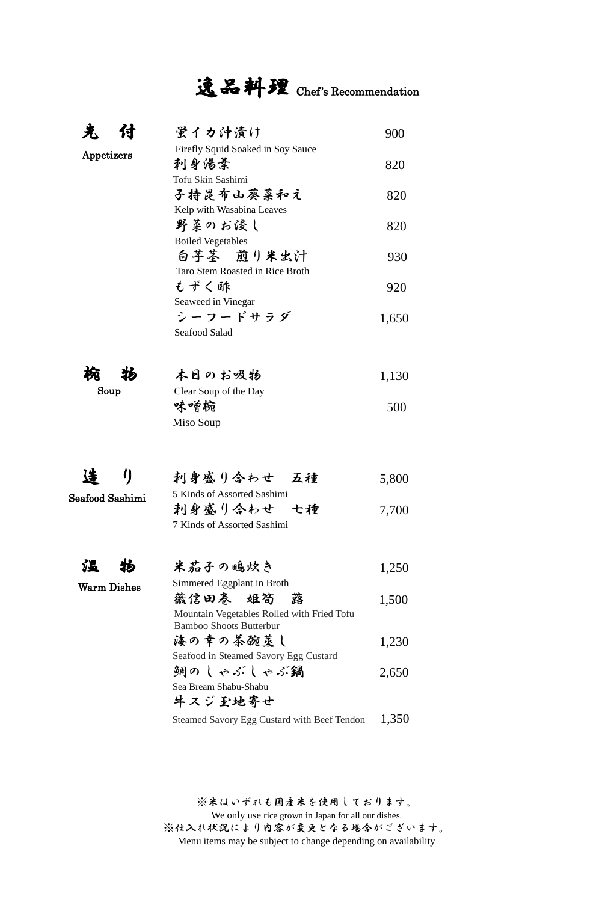# 逸品料理 Chef's Recommendation

| 汖<br>付             | 蛍イカ沖漬け                                                                       | 900   |
|--------------------|------------------------------------------------------------------------------|-------|
| Appetizers         | Firefly Squid Soaked in Soy Sauce<br>刺身傷柔                                    | 820   |
|                    | Tofu Skin Sashimi<br>子持昆布山葵菜和え                                               | 820   |
|                    | Kelp with Wasabina Leaves<br>野菜のお侵し<br><b>Boiled Vegetables</b>              | 820   |
|                    | 白芋茎 煎り米出汁<br>Taro Stem Roasted in Rice Broth                                 | 930   |
|                    | もずく酢<br>Seaweed in Vinegar                                                   | 920   |
|                    | シーフードサラダ<br>Seafood Salad                                                    | 1,650 |
| 椀<br>物             | 本日のお吸物                                                                       | 1,130 |
| Soup               | Clear Soup of the Day                                                        |       |
|                    | 味噌椀<br>Miso Soup                                                             | 500   |
| 4                  | 刺身盛り合わせ 五種                                                                   |       |
|                    | 5 Kinds of Assorted Sashimi                                                  | 5,800 |
| Seafood Sashimi    | 刺身盛り合わせ 七種                                                                   | 7,700 |
|                    | 7 Kinds of Assorted Sashimi                                                  |       |
| íХ                 | 米茄子の鴫炊き                                                                      | 1,250 |
| <b>Warm Dishes</b> | Simmered Eggplant in Broth<br>薇信田券 姬筍<br>蕗                                   | 1,500 |
|                    | Mountain Vegetables Rolled with Fried Tofu<br><b>Bamboo Shoots Butterbur</b> |       |
|                    | 海の幸の茶碗莖し                                                                     | 1,230 |
|                    | Seafood in Steamed Savory Egg Custard                                        |       |
|                    | 銅のしゃぶしゃぶ鍋                                                                    | 2,650 |
|                    | Sea Bream Shabu-Shabu                                                        |       |
|                    | 牛スジ玉地寄せ<br>Steamed Savory Egg Custard with Beef Tendon                       | 1,350 |
|                    |                                                                              |       |
|                    |                                                                              |       |

※米はいずれも国産米を使用しております。 We only use rice grown in Japan for all our dishes. ※仕入れ状況により内容が変更となる場合がございます。 Menu items may be subject to change depending on availability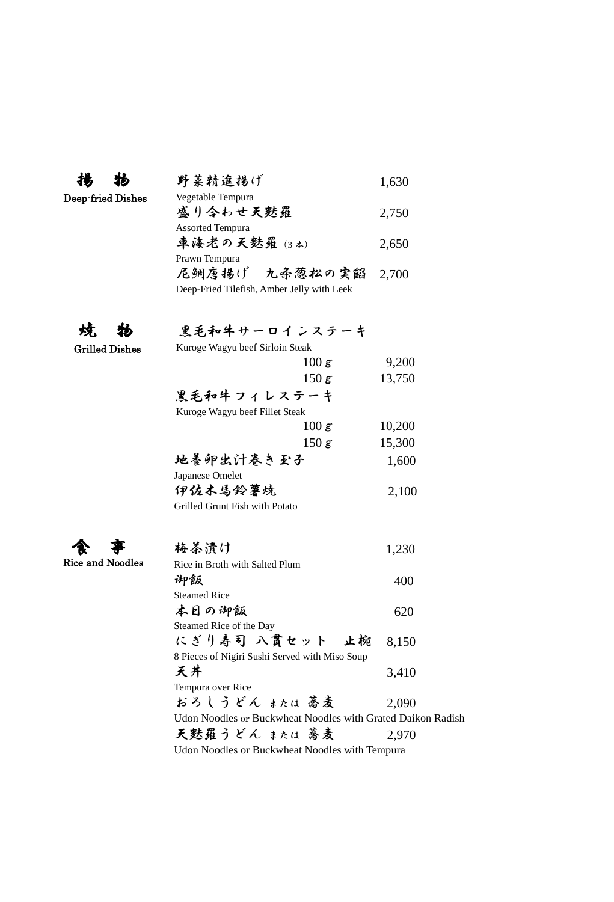|                         | 野菜精進揚げ                                                      | 1,630  |
|-------------------------|-------------------------------------------------------------|--------|
| Deep-fried Dishes       | Vegetable Tempura                                           |        |
|                         | 盛り令わせ天麩羅                                                    | 2,750  |
|                         | <b>Assorted Tempura</b>                                     |        |
|                         | 車海老の天麩羅 (3本)                                                | 2,650  |
|                         | Prawn Tempura                                               |        |
|                         | 尼鲷唐揚げ 九条葱松の実餡                                               | 2,700  |
|                         | Deep-Fried Tilefish, Amber Jelly with Leek                  |        |
|                         |                                                             |        |
| 烗                       | 黒毛和牛サーロインステーキ                                               |        |
| <b>Grilled Dishes</b>   | Kuroge Wagyu beef Sirloin Steak                             |        |
|                         | 100 g                                                       | 9,200  |
|                         | 150 g                                                       | 13,750 |
|                         | 黒毛和牛フィレステーキ                                                 |        |
|                         | Kuroge Wagyu beef Fillet Steak                              |        |
|                         | 100 g                                                       | 10,200 |
|                         | 150 g                                                       | 15,300 |
|                         | 地養卵出汁卷き玉子                                                   | 1,600  |
|                         | Japanese Omelet                                             |        |
|                         | 伊佐木馬鈴薯焼                                                     | 2,100  |
|                         | Grilled Grunt Fish with Potato                              |        |
|                         |                                                             |        |
|                         | 梅茶漬け                                                        | 1,230  |
| <b>Rice and Noodles</b> | Rice in Broth with Salted Plum                              |        |
|                         | 脚飯                                                          | 400    |
|                         | <b>Steamed Rice</b>                                         |        |
|                         | 本日の御飯                                                       | 620    |
|                         | Steamed Rice of the Day                                     |        |
|                         | にぎり寿司 八貫セット 止椀                                              | 8,150  |
|                         | 8 Pieces of Nigiri Sushi Served with Miso Soup<br>天井        |        |
|                         | Tempura over Rice                                           | 3,410  |
|                         | おろしうどん または 蕎麦                                               | 2,090  |
|                         | Udon Noodles or Buckwheat Noodles with Grated Daikon Radish |        |
|                         | 天麩羅うどん または 蕎麦                                               | 2,970  |
|                         | Udon Noodles or Buckwheat Noodles with Tempura              |        |
|                         |                                                             |        |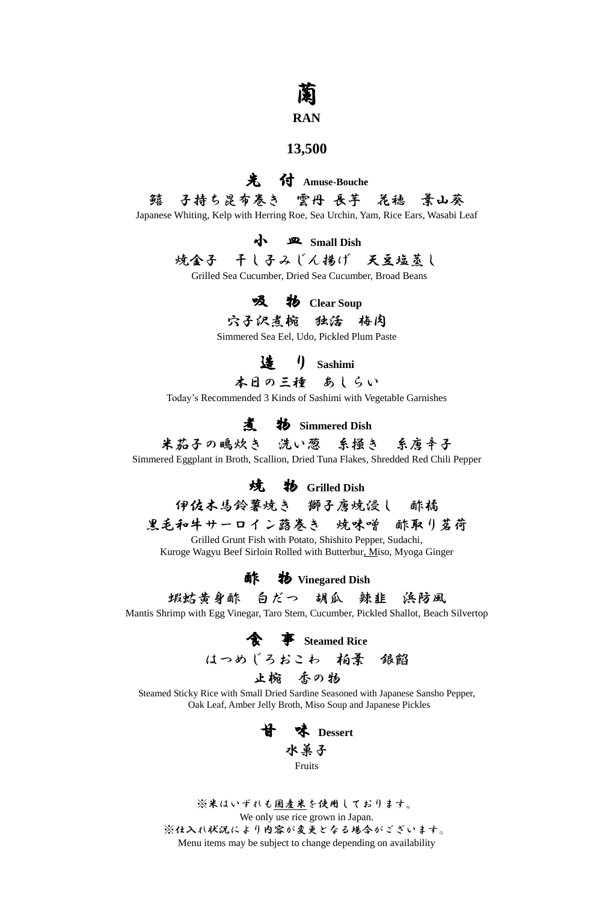## 蘭

#### **RAN**

#### **13,500**

### 先 付 **Amuse-Bouche** 鱚 子持ち昆布巻き 雲丹 長芋 花穂 葉山葵 Japanese Whiting, Kelp with Herring Roe, Sea Urchin, Yam, Rice Ears, Wasabi Leaf

小 皿 **Small Dish**

## 焼金子 干し子みじん揚げ 天豆塩蒸し

Grilled Sea Cucumber, Dried Sea Cucumber, Broad Beans

#### **吸 物** Clear Soup

穴子沢煮椀 独活 梅肉

Simmered Sea Eel, Udo, Pickled Plum Paste

造 り **Sashimi**

本日の三種 あしらい

Today's Recommended 3 Kinds of Sashimi with Vegetable Garnishes

煮 物 **Simmered Dish**

米茄子の鴫炊き 洗い葱 系掻き 系唐辛子 Simmered Eggplant in Broth, Scallion, Dried Tuna Flakes, Shredded Red Chili Pepper

焼 物 **Grilled Dish**

伊佐木馬鈴薯焼き 獅子唐焼浸し 酢橘

黒毛和牛サーロイン蕗巻き 焼味噌 酢取り茗荷

Grilled Grunt Fish with Potato, Shishito Pepper, Sudachi, Kuroge Wagyu Beef Sirloin Rolled with Butterbur, Miso, Myoga Ginger

酢 物 **Vinegared Dish**

蝦蛄黄身酢 白だつ 胡瓜 辣韭 浜防風

Mantis Shrimp with Egg Vinegar, Taro Stem, Cucumber, Pickled Shallot, Beach Silvertop

食 事 **Steamed Rice**

はつめじろおこわ 柏葉 銀餡

止椀 香の物

Steamed Sticky Rice with Small Dried Sardine Seasoned with Japanese Sansho Pepper, Oak Leaf, Amber Jelly Broth, Miso Soup and Japanese Pickles

> 甘 味 **Dessert** 水菓子 Fruits

※米はいずれも国産米を使用しております。 We only use rice grown in Japan. ※仕入れ状況により内容が変更となる場合がございます。 Menu items may be subject to change depending on availability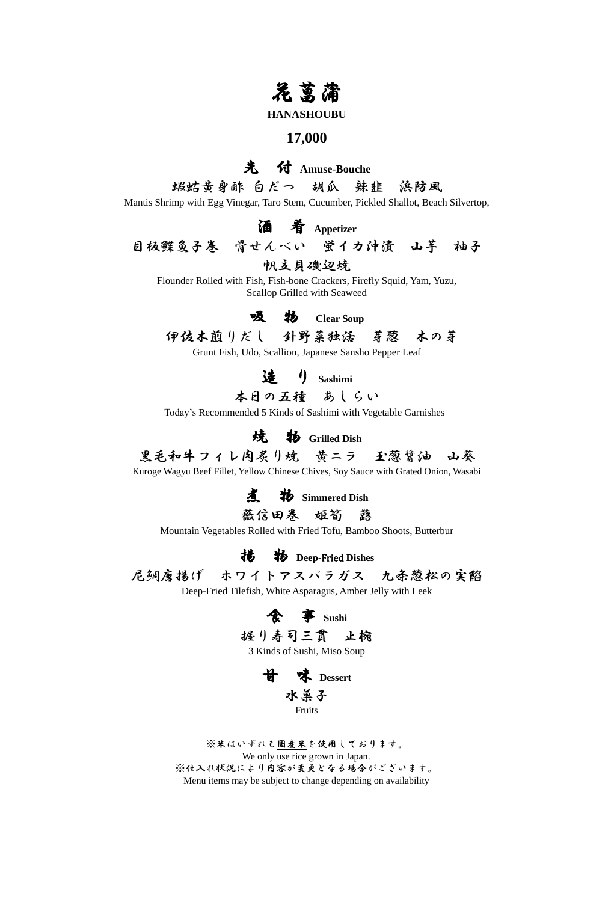## 花菖蒲

#### **HANASHOUBU**

#### **17,000**

### 先 付 **Amuse-Bouche**

蝦蛄黄身酢 白だつ 胡瓜 辣韭 浜防風 Mantis Shrimp with Egg Vinegar, Taro Stem, Cucumber, Pickled Shallot, Beach Silvertop,

酒 肴 **Appetizer**

目板鰈魚子巻 骨せんべい 蛍イカ沖漬 山芋 柚子

#### 帆立貝磯辺焼

Flounder Rolled with Fish, Fish-bone Crackers, Firefly Squid, Yam, Yuzu, Scallop Grilled with Seaweed

#### 吸 物 **Clear Soup**

### 伊佐木煎りだし 針野菜独活 芽葱 木の芽

Grunt Fish, Udo, Scallion, Japanese Sansho Pepper Leaf

造 り **Sashimi**

本日の五種 あしらい

Today's Recommended 5 Kinds of Sashimi with Vegetable Garnishes

焼 物 **Grilled Dish**

## 黒毛和牛フィレ肉炙り焼 黄ニラ 玉葱醤油 山葵

Kuroge Wagyu Beef Fillet, Yellow Chinese Chives, Soy Sauce with Grated Onion, Wasabi

煮 物 **Simmered Dish**

薇信田卷 姫筍 蕗

Mountain Vegetables Rolled with Fried Tofu, Bamboo Shoots, Butterbur

揚 物 **Deep**-Fried **Dishes**

尼鯛唐揚げ ホワイトアスパラガス 九条葱松の実餡

Deep-Fried Tilefish, White Asparagus, Amber Jelly with Leek





※米はいずれも国産米を使用しております。 We only use rice grown in Japan. ※仕入れ状況により内容が変更となる場合がございます。 Menu items may be subject to change depending on availability